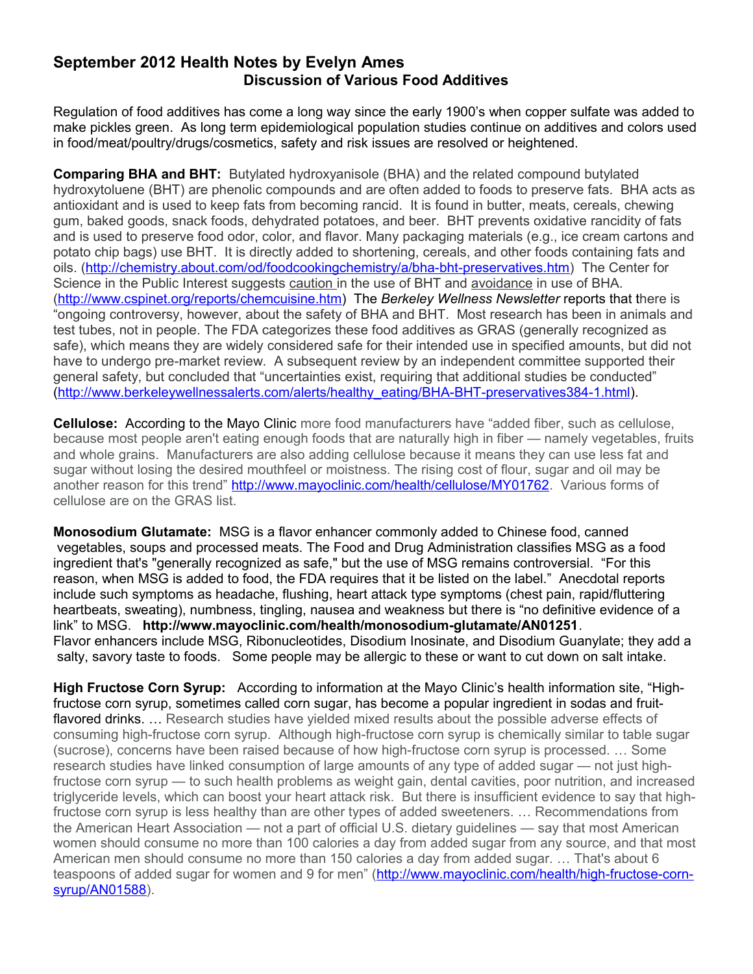## **September 2012 Health Notes by Evelyn Ames Discussion of Various Food Additives**

Regulation of food additives has come a long way since the early 1900's when copper sulfate was added to make pickles green. As long term epidemiological population studies continue on additives and colors used in food/meat/poultry/drugs/cosmetics, safety and risk issues are resolved or heightened.

**Comparing BHA and BHT:** Butylated hydroxyanisole (BHA) and the related compound butylated hydroxytoluene (BHT) are phenolic compounds and are often added to foods to preserve fats. BHA acts as antioxidant and is used to keep fats from becoming rancid. It is found in butter, meats, cereals, chewing gum, baked goods, snack foods, dehydrated potatoes, and beer. BHT prevents oxidative rancidity of fats and is used to preserve food odor, color, and flavor. Many packaging materials (e.g., ice cream cartons and potato chip bags) use BHT. It is directly added to shortening, cereals, and other foods containing fats and oils. [\(http://chemistry.about.com/od/foodcookingchemistry/a/bha-bht-preservatives.htm\)](http://chemistry.about.com/od/foodcookingchemistry/a/bha-bht-preservatives.htm) The Center for Science in the Public Interest suggests caution in the use of BHT and avoidance in use of BHA. [\(http://www.cspinet.org/reports/chemcuisine.htm\)](http://www.cspinet.org/reports/chemcuisine.htm) The *Berkeley Wellness Newsletter* reports that there is "ongoing controversy, however, about the safety of BHA and BHT. Most research has been in animals and test tubes, not in people. The FDA categorizes these food additives as GRAS (generally recognized as safe), which means they are widely considered safe for their intended use in specified amounts, but did not have to undergo pre-market review. A subsequent review by an independent committee supported their general safety, but concluded that "uncertainties exist, requiring that additional studies be conducted" [\(http://www.berkeleywellnessalerts.com/alerts/healthy\\_eating/BHA-BHT-preservatives384-1.html\)](http://www.berkeleywellnessalerts.com/alerts/healthy_eating/BHA-BHT-preservatives384-1.html).

**Cellulose:** According to the Mayo Clinic more food manufacturers have "added fiber, such as cellulose, because most people aren't eating enough foods that are naturally high in fiber — namely vegetables, fruits and whole grains. Manufacturers are also adding cellulose because it means they can use less fat and sugar without losing the desired mouthfeel or moistness. The rising cost of flour, sugar and oil may be another reason for this trend" [http://www.mayoclinic.com/health/cellulose/MY01762.](http://www.mayoclinic.com/health/cellulose/MY01762) Various forms of cellulose are on the GRAS list.

**Monosodium Glutamate:** MSG is a flavor enhancer commonly added to Chinese food, canned vegetables, soups and processed meats. The Food and Drug Administration classifies MSG as a food ingredient that's "generally recognized as safe," but the use of MSG remains controversial. "For this reason, when MSG is added to food, the FDA requires that it be listed on the label." Anecdotal reports include such symptoms as headache, flushing, heart attack type symptoms (chest pain, rapid/fluttering heartbeats, sweating), numbness, tingling, nausea and weakness but there is "no definitive evidence of a link" to MSG. **<http://www.mayoclinic.com/health/monosodium-glutamate/AN01251>**. Flavor enhancers include MSG, Ribonucleotides, Disodium Inosinate, and Disodium Guanylate; they add a salty, savory taste to foods.Some people may be allergic to these or want to cut down on salt intake.

**High Fructose Corn Syrup:** According to information at the Mayo Clinic's health information site, "Highfructose corn syrup, sometimes called corn sugar, has become a popular ingredient in sodas and fruitflavored drinks. ... Research studies have yielded mixed results about the possible adverse effects of consuming high-fructose corn syrup. Although high-fructose corn syrup is chemically similar to table sugar (sucrose), concerns have been raised because of how high-fructose corn syrup is processed. … Some research studies have linked consumption of large amounts of any type of added sugar — not just highfructose corn syrup — to such health problems as weight gain, dental cavities, poor nutrition, and increased triglyceride levels, which can boost your heart attack risk. But there is insufficient evidence to say that highfructose corn syrup is less healthy than are other types of added sweeteners. … Recommendations from the American Heart Association — not a part of official U.S. dietary guidelines — say that most American women should consume no more than 100 calories a day from added sugar from any source, and that most American men should consume no more than 150 calories a day from added sugar. … That's about 6 teaspoons of added sugar for women and 9 for men" [\(http://www.mayoclinic.com/health/high-fructose-corn](http://www.mayoclinic.com/health/high-fructose-corn-syrup/AN01588)[syrup/AN01588\)](http://www.mayoclinic.com/health/high-fructose-corn-syrup/AN01588).